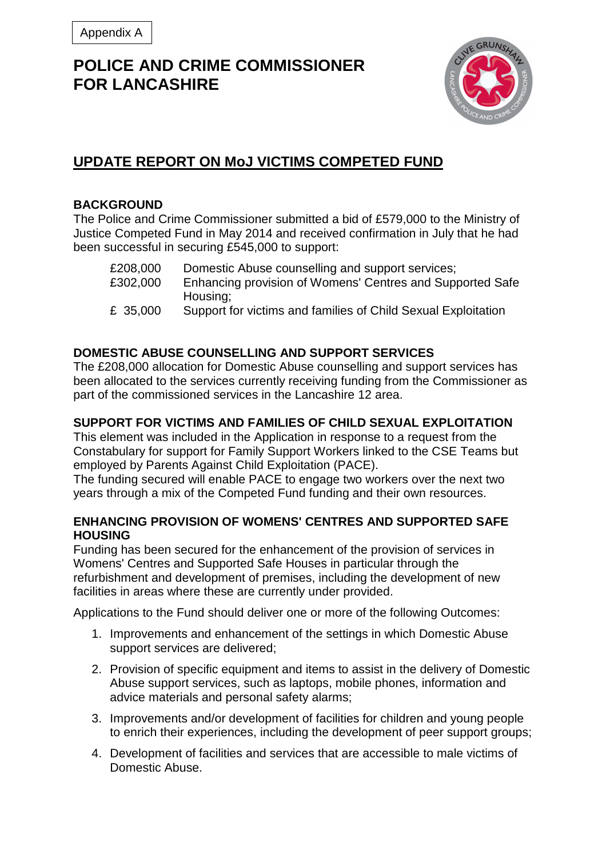# **POLICE AND CRIME COMMISSIONER FOR LANCASHIRE**



# **UPDATE REPORT ON MoJ VICTIMS COMPETED FUND**

### **BACKGROUND**

The Police and Crime Commissioner submitted a bid of £579,000 to the Ministry of Justice Competed Fund in May 2014 and received confirmation in July that he had been successful in securing £545,000 to support:

| £208,000 | Domestic Abuse counselling and support services;              |
|----------|---------------------------------------------------------------|
| £302,000 | Enhancing provision of Womens' Centres and Supported Safe     |
|          | Housing:                                                      |
| £ 35,000 | Support for victims and families of Child Sexual Exploitation |

## **DOMESTIC ABUSE COUNSELLING AND SUPPORT SERVICES**

The £208,000 allocation for Domestic Abuse counselling and support services has been allocated to the services currently receiving funding from the Commissioner as part of the commissioned services in the Lancashire 12 area.

### **SUPPORT FOR VICTIMS AND FAMILIES OF CHILD SEXUAL EXPLOITATION**

This element was included in the Application in response to a request from the Constabulary for support for Family Support Workers linked to the CSE Teams but employed by Parents Against Child Exploitation (PACE).

The funding secured will enable PACE to engage two workers over the next two years through a mix of the Competed Fund funding and their own resources.

#### **ENHANCING PROVISION OF WOMENS' CENTRES AND SUPPORTED SAFE HOUSING**

Funding has been secured for the enhancement of the provision of services in Womens' Centres and Supported Safe Houses in particular through the refurbishment and development of premises, including the development of new facilities in areas where these are currently under provided.

Applications to the Fund should deliver one or more of the following Outcomes:

- 1. Improvements and enhancement of the settings in which Domestic Abuse support services are delivered;
- 2. Provision of specific equipment and items to assist in the delivery of Domestic Abuse support services, such as laptops, mobile phones, information and advice materials and personal safety alarms;
- 3. Improvements and/or development of facilities for children and young people to enrich their experiences, including the development of peer support groups;
- 4. Development of facilities and services that are accessible to male victims of Domestic Abuse.